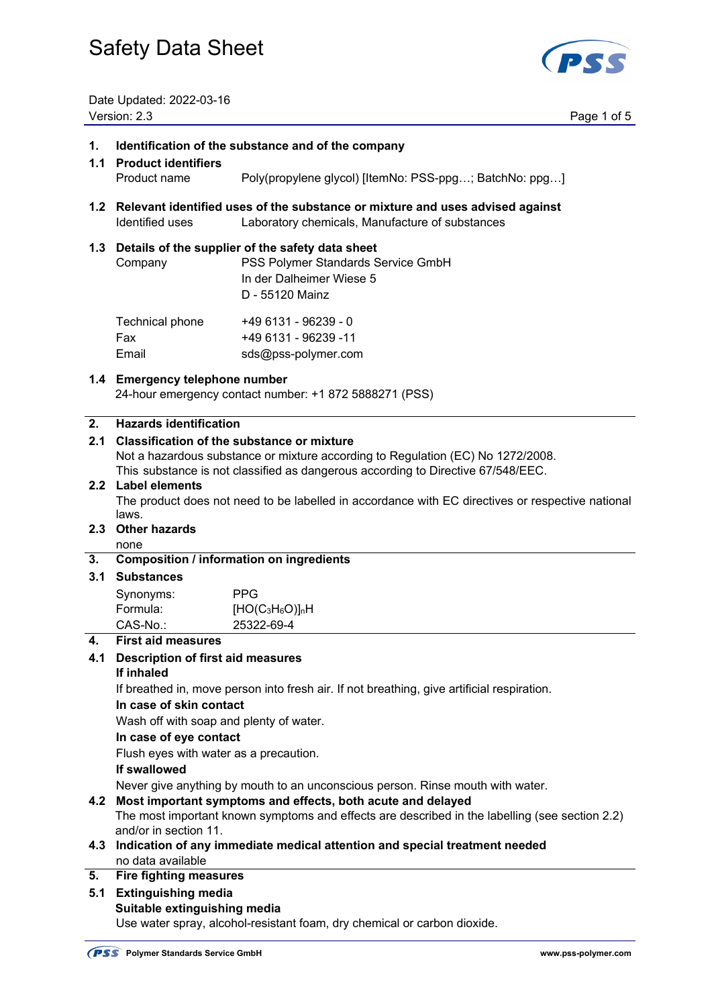

Date Updated: 2022-03-16 Version: 2.3 Page 1 of 5

#### **1. Identification of the substance and of the company**

- **1.1 Product identifiers**  Product name Poly(propylene glycol) [ItemNo: PSS-ppg…; BatchNo: ppg…]
- **1.2 Relevant identified uses of the substance or mixture and uses advised against**  Identified uses Laboratory chemicals, Manufacture of substances

#### **1.3 Details of the supplier of the safety data sheet**

 Company PSS Polymer Standards Service GmbH In der Dalheimer Wiese 5 D - 55120 Mainz  $Technical phone$   $+49.6131.06239.0$ 

| <b>Technical priorie</b> | - 49 U I J I - 902 J 9 - U |
|--------------------------|----------------------------|
| Fax                      | +49 6131 - 96239 -11       |
| Email                    | sds@pss-polymer.com        |

#### **1.4 Emergency telephone number**

24-hour emergency contact number: +1 872 5888271 (PSS)

#### **2. Hazards identification**

#### **2.1 Classification of the substance or mixture**

Not a hazardous substance or mixture according to Regulation (EC) No 1272/2008.

This substance is not classified as dangerous according to Directive 67/548/EEC.

#### **2.2 Label elements**

 The product does not need to be labelled in accordance with EC directives or respective national laws.

### **2.3 Other hazards**

## none

#### **3. Composition / information on ingredients**

## **3.1 Substances**

| Synonyms: | PPG.            |
|-----------|-----------------|
| Formula:  | $[HO(C3H6O)]nH$ |
| CAS-No.:  | 25322-69-4      |

#### **4. First aid measures**

## **4.1 Description of first aid measures**

### **If inhaled**

If breathed in, move person into fresh air. If not breathing, give artificial respiration.

#### **In case of skin contact**

Wash off with soap and plenty of water.

#### **In case of eye contact**

Flush eyes with water as a precaution.

#### **If swallowed**

Never give anything by mouth to an unconscious person. Rinse mouth with water.

#### **4.2 Most important symptoms and effects, both acute and delayed**

 The most important known symptoms and effects are described in the labelling (see section 2.2) and/or in section 11.

**4.3 Indication of any immediate medical attention and special treatment needed**  no data available

#### **5. Fire fighting measures**

**5.1 Extinguishing media Suitable extinguishing media** 

Use water spray, alcohol-resistant foam, dry chemical or carbon dioxide.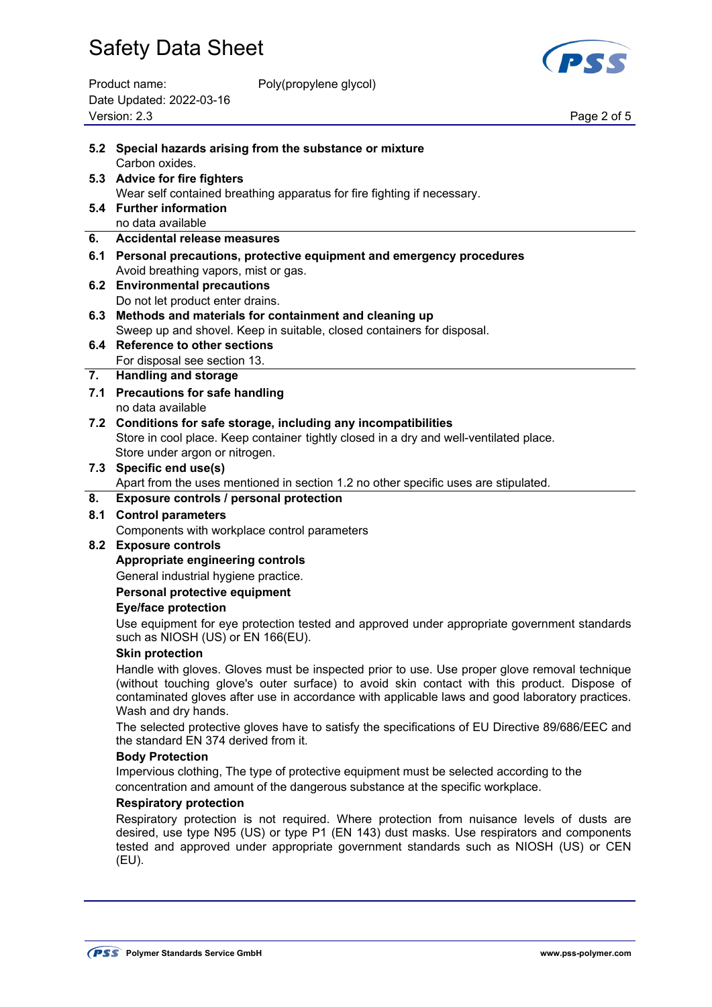

| Product name:            | Poly(propylene glycol) |
|--------------------------|------------------------|
| Date Updated: 2022-03-16 |                        |
| Version: 2.3             |                        |

Page 2 of 5

|     | 5.2 Special hazards arising from the substance or mixture<br>Carbon oxides.                                                                                                                                                                                                                                             |
|-----|-------------------------------------------------------------------------------------------------------------------------------------------------------------------------------------------------------------------------------------------------------------------------------------------------------------------------|
|     | 5.3 Advice for fire fighters                                                                                                                                                                                                                                                                                            |
|     | Wear self contained breathing apparatus for fire fighting if necessary.                                                                                                                                                                                                                                                 |
|     | 5.4 Further information                                                                                                                                                                                                                                                                                                 |
|     | no data available                                                                                                                                                                                                                                                                                                       |
| 6.  | Accidental release measures                                                                                                                                                                                                                                                                                             |
|     | 6.1 Personal precautions, protective equipment and emergency procedures                                                                                                                                                                                                                                                 |
|     | Avoid breathing vapors, mist or gas.                                                                                                                                                                                                                                                                                    |
|     | 6.2 Environmental precautions                                                                                                                                                                                                                                                                                           |
|     | Do not let product enter drains.                                                                                                                                                                                                                                                                                        |
|     | 6.3 Methods and materials for containment and cleaning up                                                                                                                                                                                                                                                               |
|     | Sweep up and shovel. Keep in suitable, closed containers for disposal.                                                                                                                                                                                                                                                  |
|     | 6.4 Reference to other sections                                                                                                                                                                                                                                                                                         |
| 7.  | For disposal see section 13.<br><b>Handling and storage</b>                                                                                                                                                                                                                                                             |
|     |                                                                                                                                                                                                                                                                                                                         |
|     | 7.1 Precautions for safe handling<br>no data available                                                                                                                                                                                                                                                                  |
|     | 7.2 Conditions for safe storage, including any incompatibilities                                                                                                                                                                                                                                                        |
|     | Store in cool place. Keep container tightly closed in a dry and well-ventilated place.                                                                                                                                                                                                                                  |
|     | Store under argon or nitrogen.                                                                                                                                                                                                                                                                                          |
|     | 7.3 Specific end use(s)                                                                                                                                                                                                                                                                                                 |
|     | Apart from the uses mentioned in section 1.2 no other specific uses are stipulated.                                                                                                                                                                                                                                     |
| 8.  | Exposure controls / personal protection                                                                                                                                                                                                                                                                                 |
| 8.1 | <b>Control parameters</b>                                                                                                                                                                                                                                                                                               |
|     | Components with workplace control parameters                                                                                                                                                                                                                                                                            |
|     | 8.2 Exposure controls                                                                                                                                                                                                                                                                                                   |
|     | Appropriate engineering controls                                                                                                                                                                                                                                                                                        |
|     | General industrial hygiene practice.                                                                                                                                                                                                                                                                                    |
|     | Personal protective equipment                                                                                                                                                                                                                                                                                           |
|     | <b>Eye/face protection</b>                                                                                                                                                                                                                                                                                              |
|     | Use equipment for eye protection tested and approved under appropriate government standards<br>such as NIOSH (US) or EN 166(EU).                                                                                                                                                                                        |
|     | <b>Skin protection</b>                                                                                                                                                                                                                                                                                                  |
|     | Handle with gloves. Gloves must be inspected prior to use. Use proper glove removal technique<br>(without touching glove's outer surface) to avoid skin contact with this product. Dispose of<br>contaminated gloves after use in accordance with applicable laws and good laboratory practices.<br>Wash and dry hands. |
|     | The selected protective gloves have to satisfy the specifications of EU Directive 89/686/EEC and<br>the standard EN 374 derived from it.                                                                                                                                                                                |
|     | <b>Body Protection</b>                                                                                                                                                                                                                                                                                                  |
|     | Impervious clothing, The type of protective equipment must be selected according to the                                                                                                                                                                                                                                 |
|     | concentration and amount of the dangerous substance at the specific workplace.                                                                                                                                                                                                                                          |
|     | <b>Respiratory protection</b>                                                                                                                                                                                                                                                                                           |
|     | Respiratory protection is not required. Where protection from nuisance levels of dusts are<br>desired, use type N95 (US) or type P1 (EN 143) dust masks. Use respirators and components<br>tested and approved under appropriate government standards such as NIOSH (US) or CEN                                         |
|     | (EU).                                                                                                                                                                                                                                                                                                                   |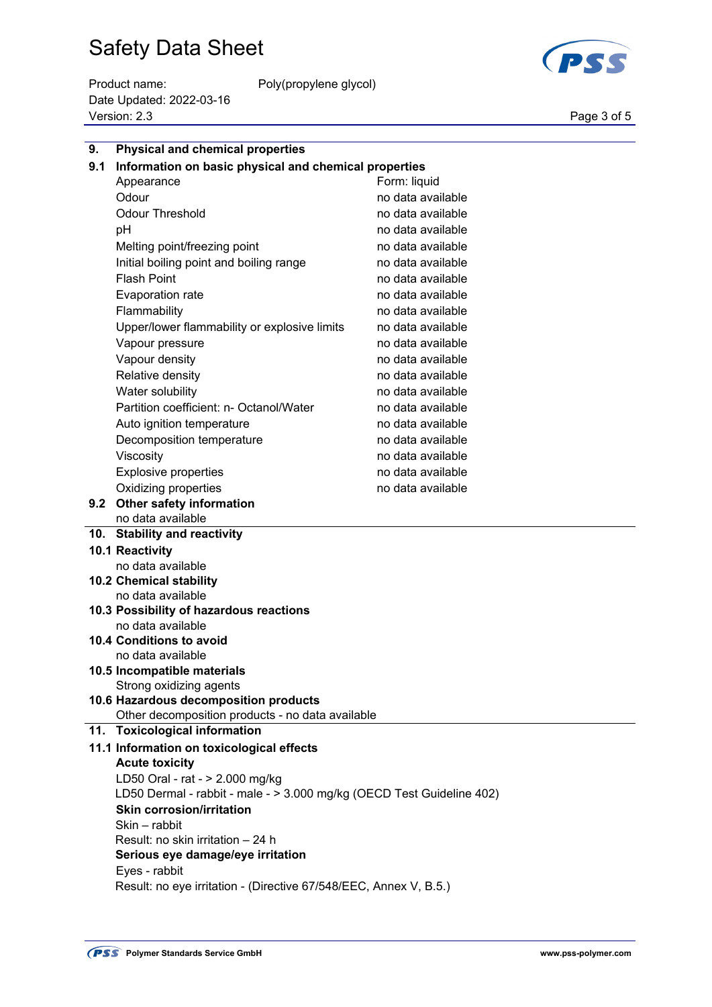Product name: Poly(propylene glycol) Date Updated: 2022-03-16 Page 3 of 5<br>Version: 2.3 Page 3 of 5



| 9.  | <b>Physical and chemical properties</b>                               |                   |  |
|-----|-----------------------------------------------------------------------|-------------------|--|
| 9.1 | Information on basic physical and chemical properties                 |                   |  |
|     | Form: liquid<br>Appearance                                            |                   |  |
|     | Odour                                                                 | no data available |  |
|     | <b>Odour Threshold</b>                                                | no data available |  |
|     | pH                                                                    | no data available |  |
|     | Melting point/freezing point                                          | no data available |  |
|     | Initial boiling point and boiling range                               | no data available |  |
|     | <b>Flash Point</b>                                                    | no data available |  |
|     | <b>Evaporation rate</b>                                               | no data available |  |
|     | Flammability                                                          | no data available |  |
|     | Upper/lower flammability or explosive limits                          | no data available |  |
|     | Vapour pressure                                                       | no data available |  |
|     | Vapour density                                                        | no data available |  |
|     | Relative density                                                      | no data available |  |
|     | Water solubility                                                      | no data available |  |
|     | Partition coefficient: n- Octanol/Water                               | no data available |  |
|     | Auto ignition temperature                                             | no data available |  |
|     | Decomposition temperature                                             | no data available |  |
|     | Viscosity                                                             | no data available |  |
|     | <b>Explosive properties</b>                                           | no data available |  |
|     | Oxidizing properties                                                  | no data available |  |
|     | 9.2 Other safety information                                          |                   |  |
|     | no data available                                                     |                   |  |
|     | 10. Stability and reactivity                                          |                   |  |
|     | 10.1 Reactivity                                                       |                   |  |
|     | no data available                                                     |                   |  |
|     | <b>10.2 Chemical stability</b><br>no data available                   |                   |  |
|     | 10.3 Possibility of hazardous reactions                               |                   |  |
|     | no data available                                                     |                   |  |
|     | 10.4 Conditions to avoid                                              |                   |  |
|     | no data available                                                     |                   |  |
|     | 10.5 Incompatible materials                                           |                   |  |
|     | Strong oxidizing agents                                               |                   |  |
|     | 10.6 Hazardous decomposition products                                 |                   |  |
|     | Other decomposition products - no data available                      |                   |  |
|     | 11. Toxicological information                                         |                   |  |
|     | 11.1 Information on toxicological effects                             |                   |  |
|     | <b>Acute toxicity</b>                                                 |                   |  |
|     | LD50 Oral - rat - > 2.000 mg/kg                                       |                   |  |
|     | LD50 Dermal - rabbit - male - > 3.000 mg/kg (OECD Test Guideline 402) |                   |  |
|     | <b>Skin corrosion/irritation</b><br>Skin - rabbit                     |                   |  |
|     | Result: no skin irritation - 24 h                                     |                   |  |
|     | Serious eye damage/eye irritation                                     |                   |  |
|     | Eyes - rabbit                                                         |                   |  |
|     | Result: no eye irritation - (Directive 67/548/EEC, Annex V, B.5.)     |                   |  |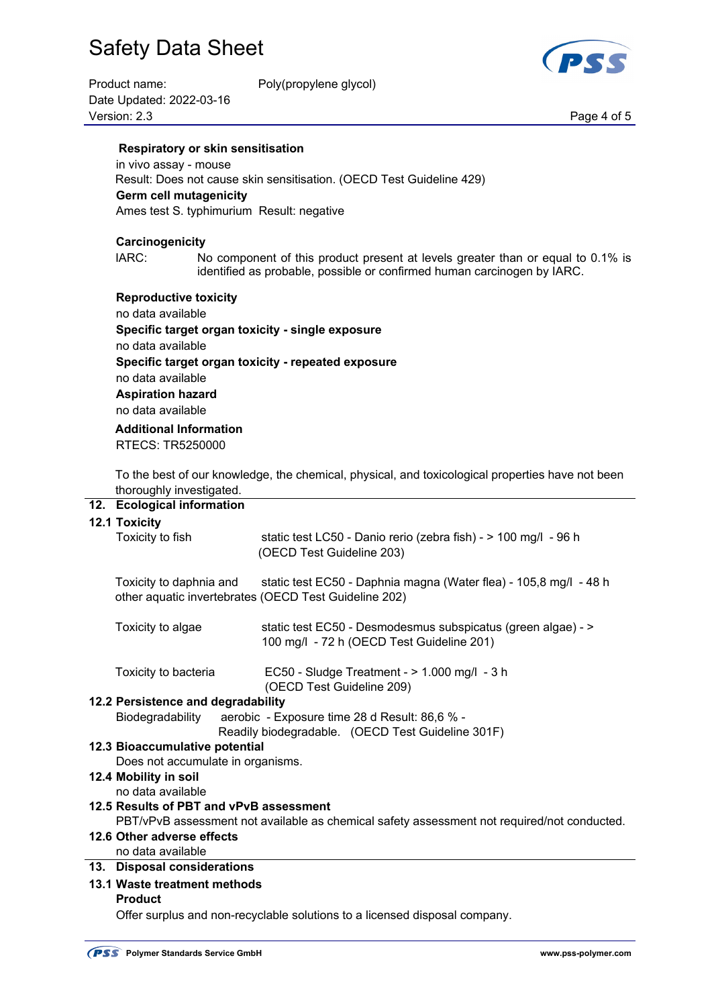| Product name:            | Poly(propylene glycol) |             |
|--------------------------|------------------------|-------------|
| Date Updated: 2022-03-16 |                        |             |
| Version: 2.3             |                        | Page 4 of 5 |

PSS

#### **Respiratory or skin sensitisation**

 in vivo assay - mouse Result: Does not cause skin sensitisation. (OECD Test Guideline 429) **Germ cell mutagenicity** Ames test S. typhimurium Result: negative

#### **Carcinogenicity**

 IARC: No component of this product present at levels greater than or equal to 0.1% is identified as probable, possible or confirmed human carcinogen by IARC.

#### **Reproductive toxicity**

 no data available **Specific target organ toxicity - single exposure** no data available **Specific target organ toxicity - repeated exposure** no data available **Aspiration hazard** no data available  **Additional Information** 

RTECS: TR5250000

 To the best of our knowledge, the chemical, physical, and toxicological properties have not been thoroughly investigated.

## **12. Ecological information**

#### **12.1 Toxicity**

| Toxicity to fish                        | static test LC50 - Danio rerio (zebra fish) - > 100 mg/l - 96 h                                                            |  |
|-----------------------------------------|----------------------------------------------------------------------------------------------------------------------------|--|
|                                         | (OECD Test Guideline 203)                                                                                                  |  |
| Toxicity to daphnia and                 | static test EC50 - Daphnia magna (Water flea) - 105,8 mg/l - 48 h<br>other aquatic invertebrates (OECD Test Guideline 202) |  |
| Toxicity to algae                       | static test EC50 - Desmodesmus subspicatus (green algae) - ><br>100 mg/l - 72 h (OECD Test Guideline 201)                  |  |
| Toxicity to bacteria                    | EC50 - Sludge Treatment - $> 1.000$ mg/l - 3 h<br>(OECD Test Guideline 209)                                                |  |
| 12.2 Persistence and degradability      |                                                                                                                            |  |
| Biodegradability                        | aerobic - Exposure time 28 d Result: 86,6 % -                                                                              |  |
|                                         | Readily biodegradable. (OECD Test Guideline 301F)                                                                          |  |
| 12.3 Bioaccumulative potential          |                                                                                                                            |  |
| Does not accumulate in organisms.       |                                                                                                                            |  |
| 12.4 Mobility in soil                   |                                                                                                                            |  |
| no data available                       |                                                                                                                            |  |
| 12.5 Results of PBT and vPvB assessment |                                                                                                                            |  |
|                                         | PBT/vPvB assessment not available as chemical safety assessment not required/not conducted.                                |  |
| 12.6 Other adverse effects              |                                                                                                                            |  |
| no data available                       |                                                                                                                            |  |
| 13. Disposal considerations             |                                                                                                                            |  |
| 13.1 Waste treatment methods            |                                                                                                                            |  |
| <b>Product</b>                          |                                                                                                                            |  |

Offer surplus and non-recyclable solutions to a licensed disposal company.